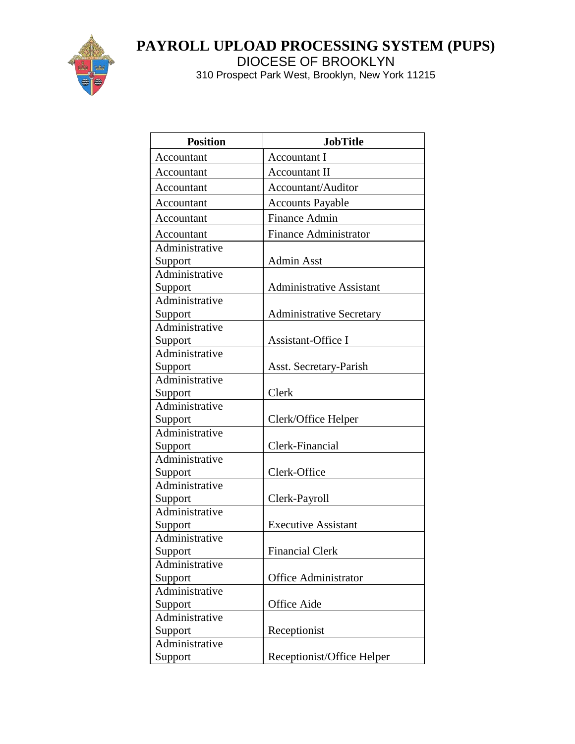

# **PAYROLL UPLOAD PROCESSING SYSTEM (PUPS)**

DIOCESE OF BROOKLYN

| <b>Position</b> | <b>JobTitle</b>                 |
|-----------------|---------------------------------|
| Accountant      | <b>Accountant I</b>             |
| Accountant      | Accountant II                   |
| Accountant      | Accountant/Auditor              |
| Accountant      | <b>Accounts Payable</b>         |
| Accountant      | Finance Admin                   |
| Accountant      | <b>Finance Administrator</b>    |
| Administrative  |                                 |
| Support         | <b>Admin Asst</b>               |
| Administrative  |                                 |
| Support         | <b>Administrative Assistant</b> |
| Administrative  |                                 |
| Support         | <b>Administrative Secretary</b> |
| Administrative  |                                 |
| Support         | Assistant-Office I              |
| Administrative  |                                 |
| Support         | Asst. Secretary-Parish          |
| Administrative  |                                 |
| Support         | Clerk                           |
| Administrative  |                                 |
| Support         | Clerk/Office Helper             |
| Administrative  |                                 |
| Support         | Clerk-Financial                 |
| Administrative  |                                 |
| Support         | Clerk-Office                    |
| Administrative  |                                 |
| Support         | Clerk-Payroll                   |
| Administrative  |                                 |
| Support         | <b>Executive Assistant</b>      |
| Administrative  |                                 |
| Support         | <b>Financial Clerk</b>          |
| Administrative  |                                 |
| Support         | <b>Office Administrator</b>     |
| Administrative  |                                 |
| Support         | Office Aide                     |
| Administrative  |                                 |
| Support         | Receptionist                    |
| Administrative  |                                 |
| Support         | Receptionist/Office Helper      |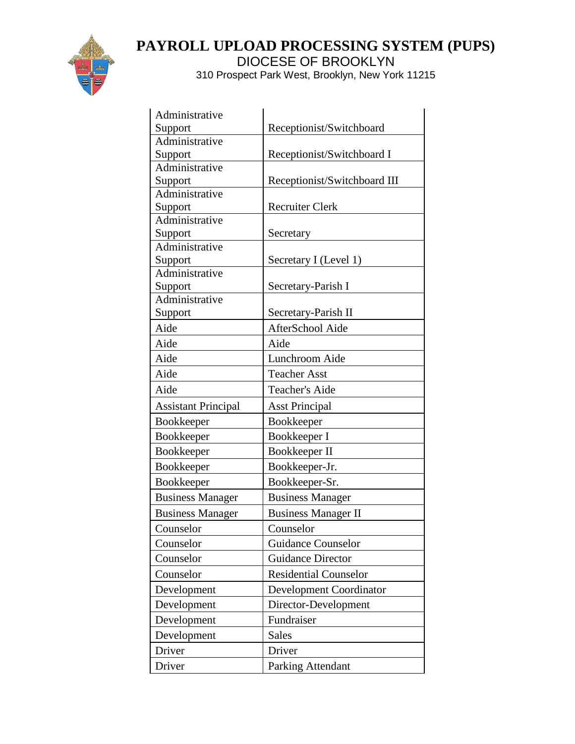

| Administrative             |                                |
|----------------------------|--------------------------------|
| Support                    | Receptionist/Switchboard       |
| Administrative             |                                |
| Support                    | Receptionist/Switchboard I     |
| Administrative             |                                |
| Support                    | Receptionist/Switchboard III   |
| Administrative             |                                |
| Support<br>Administrative  | <b>Recruiter Clerk</b>         |
| Support                    | Secretary                      |
| Administrative             |                                |
| Support                    | Secretary I (Level 1)          |
| Administrative             |                                |
| Support                    | Secretary-Parish I             |
| Administrative             |                                |
| Support                    | Secretary-Parish II            |
| Aide                       | AfterSchool Aide               |
| Aide                       | Aide                           |
| Aide                       | Lunchroom Aide                 |
| Aide                       | <b>Teacher Asst</b>            |
| Aide                       | <b>Teacher's Aide</b>          |
| <b>Assistant Principal</b> | <b>Asst Principal</b>          |
| Bookkeeper                 | Bookkeeper                     |
| Bookkeeper                 | Bookkeeper I                   |
| Bookkeeper                 | Bookkeeper II                  |
| Bookkeeper                 | Bookkeeper-Jr.                 |
| Bookkeeper                 | Bookkeeper-Sr.                 |
| <b>Business Manager</b>    | <b>Business Manager</b>        |
| <b>Business Manager</b>    | <b>Business Manager II</b>     |
| Counselor                  | Counselor                      |
| Counselor                  | <b>Guidance Counselor</b>      |
| Counselor                  | <b>Guidance Director</b>       |
| Counselor                  | <b>Residential Counselor</b>   |
| Development                | <b>Development Coordinator</b> |
| Development                | Director-Development           |
| Development                | Fundraiser                     |
| Development                | <b>Sales</b>                   |
| Driver                     | Driver                         |
| Driver                     | Parking Attendant              |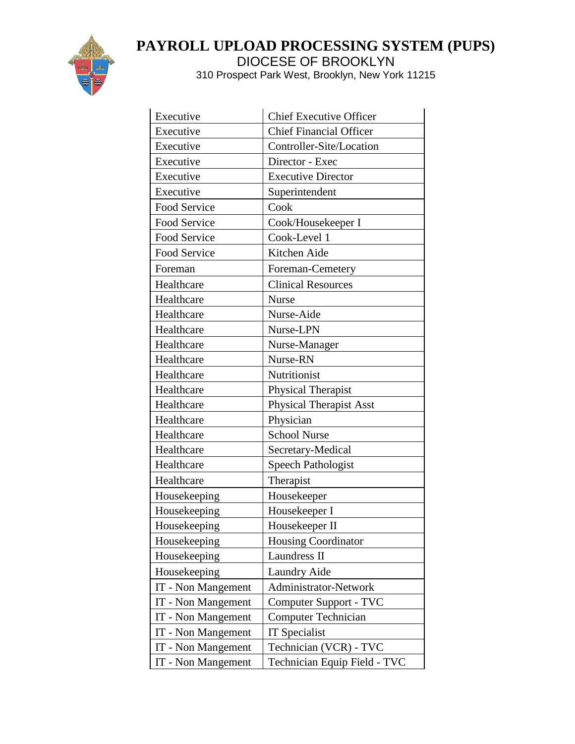

| Executive           | <b>Chief Executive Officer</b> |
|---------------------|--------------------------------|
| Executive           | <b>Chief Financial Officer</b> |
| Executive           | Controller-Site/Location       |
| Executive           | Director - Exec                |
| Executive           | <b>Executive Director</b>      |
| Executive           | Superintendent                 |
| Food Service        | Cook                           |
| <b>Food Service</b> | Cook/Housekeeper I             |
| Food Service        | Cook-Level 1                   |
| Food Service        | Kitchen Aide                   |
| Foreman             | Foreman-Cemetery               |
| Healthcare          | <b>Clinical Resources</b>      |
| Healthcare          | <b>Nurse</b>                   |
| Healthcare          | Nurse-Aide                     |
| Healthcare          | Nurse-LPN                      |
| Healthcare          | Nurse-Manager                  |
| Healthcare          | Nurse-RN                       |
| Healthcare          | Nutritionist                   |
| Healthcare          | Physical Therapist             |
| Healthcare          | <b>Physical Therapist Asst</b> |
| Healthcare          | Physician                      |
| Healthcare          | <b>School Nurse</b>            |
| Healthcare          | Secretary-Medical              |
| Healthcare          | <b>Speech Pathologist</b>      |
| Healthcare          | Therapist                      |
| Housekeeping        | Housekeeper                    |
| Housekeeping        | Housekeeper I                  |
| Housekeeping        | Housekeeper II                 |
| Housekeeping        | <b>Housing Coordinator</b>     |
| Housekeeping        | Laundress II                   |
| Housekeeping        | <b>Laundry Aide</b>            |
| IT - Non Mangement  | Administrator-Network          |
| IT - Non Mangement  | Computer Support - TVC         |
| IT - Non Mangement  | <b>Computer Technician</b>     |
| IT - Non Mangement  | IT Specialist                  |
| IT - Non Mangement  | Technician (VCR) - TVC         |
| IT - Non Mangement  | Technician Equip Field - TVC   |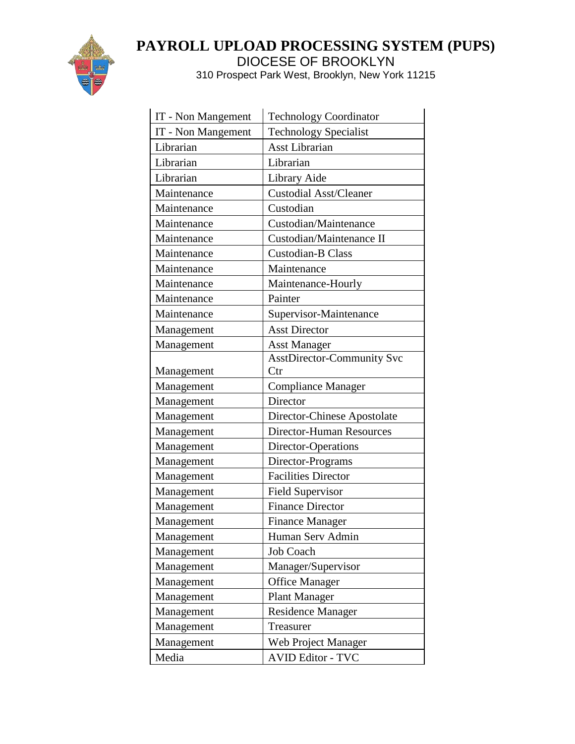

| IT - Non Mangement | <b>Technology Coordinator</b>     |
|--------------------|-----------------------------------|
| IT - Non Mangement | Technology Specialist             |
| Librarian          | <b>Asst Librarian</b>             |
| Librarian          | Librarian                         |
| Librarian          | Library Aide                      |
| Maintenance        | Custodial Asst/Cleaner            |
| Maintenance        | Custodian                         |
| Maintenance        | Custodian/Maintenance             |
| Maintenance        | Custodian/Maintenance II          |
| Maintenance        | <b>Custodian-B Class</b>          |
| Maintenance        | Maintenance                       |
| Maintenance        | Maintenance-Hourly                |
| Maintenance        | Painter                           |
| Maintenance        | Supervisor-Maintenance            |
| Management         | <b>Asst Director</b>              |
| Management         | <b>Asst Manager</b>               |
|                    | <b>AsstDirector-Community Svc</b> |
| Management         | Ctr                               |
| Management         | <b>Compliance Manager</b>         |
| Management         | Director                          |
| Management         | Director-Chinese Apostolate       |
| Management         | <b>Director-Human Resources</b>   |
| Management         | Director-Operations               |
| Management         | Director-Programs                 |
| Management         | <b>Facilities Director</b>        |
| Management         | Field Supervisor                  |
| Management         | <b>Finance Director</b>           |
| Management         | <b>Finance Manager</b>            |
| Management         | Human Serv Admin                  |
| Management         | Job Coach                         |
| Management         | Manager/Supervisor                |
| Management         | <b>Office Manager</b>             |
| Management         | <b>Plant Manager</b>              |
| Management         | <b>Residence Manager</b>          |
| Management         | Treasurer                         |
| Management         | Web Project Manager               |
| Media              | <b>AVID Editor - TVC</b>          |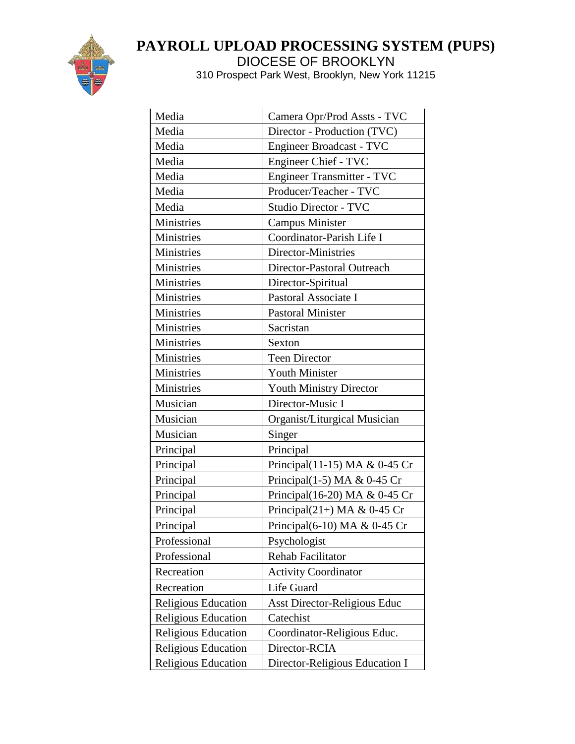

| Media                      | Camera Opr/Prod Assts - TVC      |
|----------------------------|----------------------------------|
| Media                      | Director - Production (TVC)      |
| Media                      | Engineer Broadcast - TVC         |
| Media                      | Engineer Chief - TVC             |
| Media                      | Engineer Transmitter - TVC       |
| Media                      | Producer/Teacher - TVC           |
| Media                      | <b>Studio Director - TVC</b>     |
| Ministries                 | <b>Campus Minister</b>           |
| Ministries                 | Coordinator-Parish Life I        |
| Ministries                 | Director-Ministries              |
| Ministries                 | Director-Pastoral Outreach       |
| Ministries                 | Director-Spiritual               |
| Ministries                 | Pastoral Associate I             |
| Ministries                 | <b>Pastoral Minister</b>         |
| <b>Ministries</b>          | Sacristan                        |
| Ministries                 | Sexton                           |
| Ministries                 | <b>Teen Director</b>             |
| Ministries                 | <b>Youth Minister</b>            |
| <b>Ministries</b>          | Youth Ministry Director          |
| Musician                   | Director-Music I                 |
| Musician                   | Organist/Liturgical Musician     |
| Musician                   | Singer                           |
| Principal                  | Principal                        |
| Principal                  | Principal $(11-15)$ MA & 0-45 Cr |
| Principal                  | Principal $(1-5)$ MA & 0-45 Cr   |
| Principal                  | Principal(16-20) MA & 0-45 Cr    |
| Principal                  | Principal $(21+)$ MA & 0-45 Cr   |
| Principal                  | Principal(6-10) MA & 0-45 Cr     |
| Professional               | Psychologist                     |
| Professional               | Rehab Facilitator                |
| Recreation                 | <b>Activity Coordinator</b>      |
| Recreation                 | Life Guard                       |
| <b>Religious Education</b> | Asst Director-Religious Educ     |
| <b>Religious Education</b> | Catechist                        |
| <b>Religious Education</b> | Coordinator-Religious Educ.      |
| <b>Religious Education</b> | Director-RCIA                    |
| <b>Religious Education</b> | Director-Religious Education I   |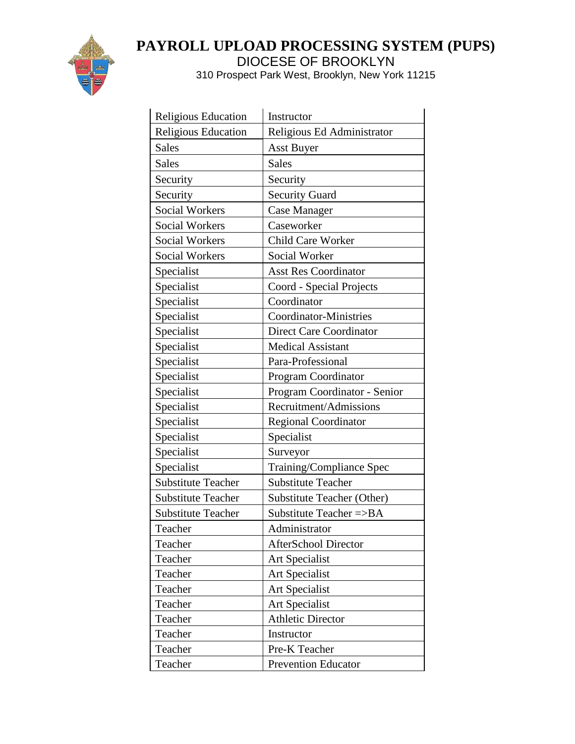

l.

# **PAYROLL UPLOAD PROCESSING SYSTEM (PUPS)** DIOCESE OF BROOKLYN

| Religious Education        | Instructor                     |
|----------------------------|--------------------------------|
| <b>Religious Education</b> | Religious Ed Administrator     |
| <b>Sales</b>               | <b>Asst Buyer</b>              |
| <b>Sales</b>               | <b>Sales</b>                   |
| Security                   | Security                       |
| Security                   | <b>Security Guard</b>          |
| <b>Social Workers</b>      | <b>Case Manager</b>            |
| <b>Social Workers</b>      | Caseworker                     |
| <b>Social Workers</b>      | <b>Child Care Worker</b>       |
| <b>Social Workers</b>      | Social Worker                  |
| Specialist                 | <b>Asst Res Coordinator</b>    |
| Specialist                 | Coord - Special Projects       |
| Specialist                 | Coordinator                    |
| Specialist                 | <b>Coordinator-Ministries</b>  |
| Specialist                 | <b>Direct Care Coordinator</b> |
| Specialist                 | <b>Medical Assistant</b>       |
| Specialist                 | Para-Professional              |
| Specialist                 | <b>Program Coordinator</b>     |
| Specialist                 | Program Coordinator - Senior   |
| Specialist                 | Recruitment/Admissions         |
| Specialist                 | <b>Regional Coordinator</b>    |
| Specialist                 | Specialist                     |
| Specialist                 | Surveyor                       |
| Specialist                 | Training/Compliance Spec       |
| <b>Substitute Teacher</b>  | <b>Substitute Teacher</b>      |
| <b>Substitute Teacher</b>  | Substitute Teacher (Other)     |
| <b>Substitute Teacher</b>  | Substitute Teacher =>BA        |
| Teacher                    | Administrator                  |
| Teacher                    | <b>AfterSchool Director</b>    |
| Teacher                    | Art Specialist                 |
| Teacher                    | Art Specialist                 |
| Teacher                    | Art Specialist                 |
| Teacher                    | Art Specialist                 |
| Teacher                    | <b>Athletic Director</b>       |
| Teacher                    | Instructor                     |
| Teacher                    | Pre-K Teacher                  |
| Teacher                    | <b>Prevention Educator</b>     |